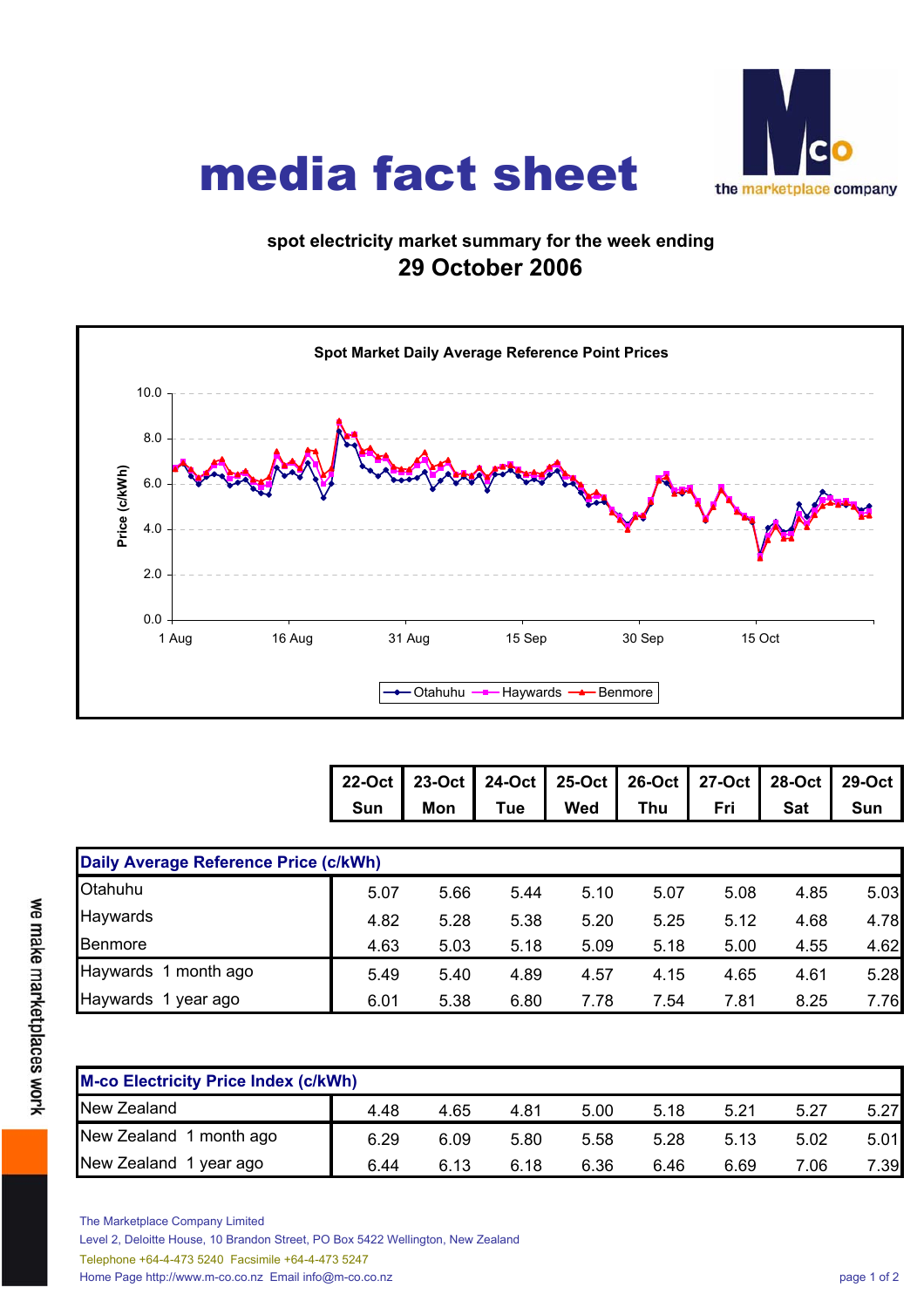

## media fact sheet

## **spot electricity market summary for the week ending 29 October 2006**



| 22-Oct 23-Oct 24-Oct 25-Oct 26-Oct 27-Oct 28-Oct 29-Oct |  |                                               |  |  |
|---------------------------------------------------------|--|-----------------------------------------------|--|--|
|                                                         |  | Sun   Mon   Tue   Wed   Thu   Fri   Sat   Sun |  |  |

| Daily Average Reference Price (c/kWh) |      |      |      |      |      |      |      |      |  |  |
|---------------------------------------|------|------|------|------|------|------|------|------|--|--|
| Otahuhu                               | 5.07 | 5.66 | 5.44 | 5.10 | 5.07 | 5.08 | 4.85 | 5.03 |  |  |
| Haywards                              | 4.82 | 5.28 | 5.38 | 5.20 | 5.25 | 5.12 | 4.68 | 4.78 |  |  |
| Benmore                               | 4.63 | 5.03 | 5.18 | 5.09 | 5.18 | 5.00 | 4.55 | 4.62 |  |  |
| Haywards 1 month ago                  | 5.49 | 5.40 | 4.89 | 4.57 | 4.15 | 4.65 | 4.61 | 5.28 |  |  |
| Haywards 1 year ago                   | 6.01 | 5.38 | 6.80 | 7.78 | 7.54 | 7.81 | 8.25 | 7.76 |  |  |

| <b>M-co Electricity Price Index (c/kWh)</b> |      |      |      |      |      |      |      |      |  |  |
|---------------------------------------------|------|------|------|------|------|------|------|------|--|--|
| New Zealand                                 | 4.48 | 4.65 | 4.81 | 5.00 | 5.18 | 5.21 | 5.27 | 5.27 |  |  |
| New Zealand 1 month ago                     | 6.29 | 6.09 | 5.80 | 5.58 | 5.28 | 5.13 | 5.02 | 5.01 |  |  |
| New Zealand 1 year ago                      | 6.44 | 6.13 | 6.18 | 6.36 | 6.46 | 6.69 | 7.06 | 7.39 |  |  |

The Marketplace Company Limited

Level 2, Deloitte House, 10 Brandon Street, PO Box 5422 Wellington, New Zealand

Telephone +64-4-473 5240 Facsimile +64-4-473 5247

Home Page http://www.m-co.co.nz Email info@m-co.co.nz page 1 of 2